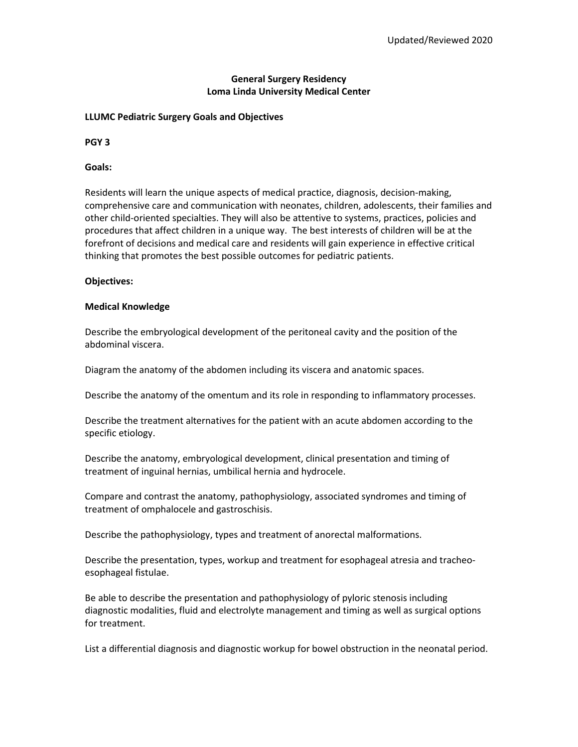# **General Surgery Residency Loma Linda University Medical Center**

### **LLUMC Pediatric Surgery Goals and Objectives**

**PGY 3**

## **Goals:**

Residents will learn the unique aspects of medical practice, diagnosis, decision-making, comprehensive care and communication with neonates, children, adolescents, their families and other child-oriented specialties. They will also be attentive to systems, practices, policies and procedures that affect children in a unique way. The best interests of children will be at the forefront of decisions and medical care and residents will gain experience in effective critical thinking that promotes the best possible outcomes for pediatric patients.

### **Objectives:**

## **Medical Knowledge**

Describe the embryological development of the peritoneal cavity and the position of the abdominal viscera.

Diagram the anatomy of the abdomen including its viscera and anatomic spaces.

Describe the anatomy of the omentum and its role in responding to inflammatory processes.

Describe the treatment alternatives for the patient with an acute abdomen according to the specific etiology.

Describe the anatomy, embryological development, clinical presentation and timing of treatment of inguinal hernias, umbilical hernia and hydrocele.

Compare and contrast the anatomy, pathophysiology, associated syndromes and timing of treatment of omphalocele and gastroschisis.

Describe the pathophysiology, types and treatment of anorectal malformations.

Describe the presentation, types, workup and treatment for esophageal atresia and tracheoesophageal fistulae.

Be able to describe the presentation and pathophysiology of pyloric stenosis including diagnostic modalities, fluid and electrolyte management and timing as well as surgical options for treatment.

List a differential diagnosis and diagnostic workup for bowel obstruction in the neonatal period.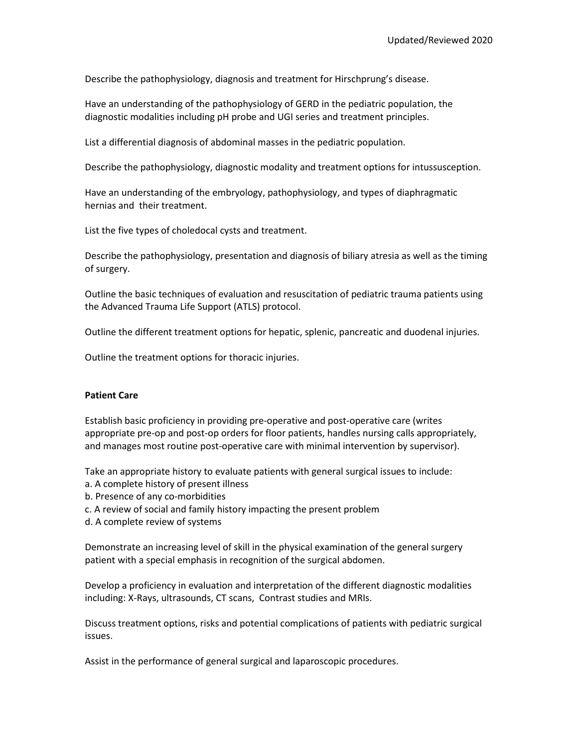Describe the pathophysiology, diagnosis and treatment for Hirschprung's disease.

Have an understanding of the pathophysiology of GERD in the pediatric population, the diagnostic modalities including pH probe and UGI series and treatment principles.

List a differential diagnosis of abdominal masses in the pediatric population.

Describe the pathophysiology, diagnostic modality and treatment options for intussusception.

Have an understanding of the embryology, pathophysiology, and types of diaphragmatic hernias and their treatment.

List the five types of choledocal cysts and treatment.

Describe the pathophysiology, presentation and diagnosis of biliary atresia as well as the timing of surgery.

Outline the basic techniques of evaluation and resuscitation of pediatric trauma patients using the Advanced Trauma Life Support (ATLS) protocol.

Outline the different treatment options for hepatic, splenic, pancreatic and duodenal injuries.

Outline the treatment options for thoracic injuries.

# **Patient Care**

Establish basic proficiency in providing pre-operative and post-operative care (writes appropriate pre-op and post-op orders for floor patients, handles nursing calls appropriately, and manages most routine post-operative care with minimal intervention by supervisor).

Take an appropriate history to evaluate patients with general surgical issues to include:

- a. A complete history of present illness
- b. Presence of any co-morbidities
- c. A review of social and family history impacting the present problem
- d. A complete review of systems

Demonstrate an increasing level of skill in the physical examination of the general surgery patient with a special emphasis in recognition of the surgical abdomen.

Develop a proficiency in evaluation and interpretation of the different diagnostic modalities including: X-Rays, ultrasounds, CT scans, Contrast studies and MRIs.

Discuss treatment options, risks and potential complications of patients with pediatric surgical issues.

Assist in the performance of general surgical and laparoscopic procedures.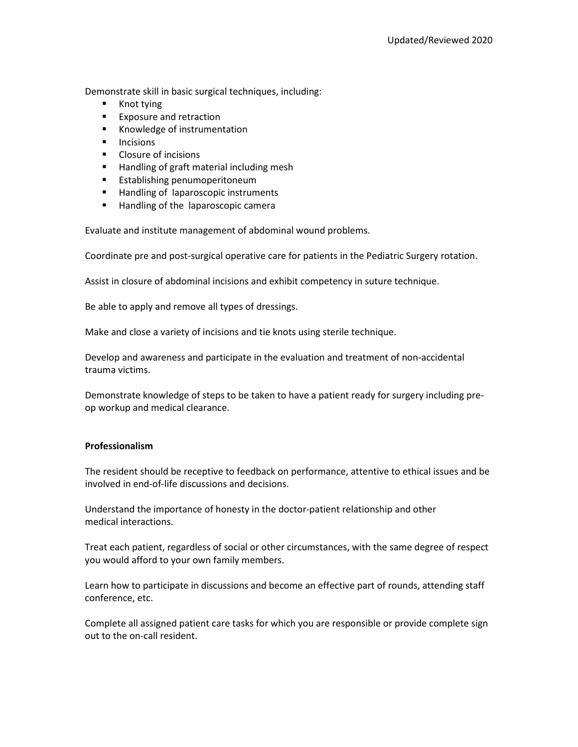Demonstrate skill in basic surgical techniques, including:

- **Knot tying**
- **Exposure and retraction**
- Knowledge of instrumentation
- $\blacksquare$  Incisions
- **Closure of incisions**
- Handling of graft material including mesh
- **Establishing penumoperitoneum**
- **Handling of laparoscopic instruments**
- Handling of the laparoscopic camera

Evaluate and institute management of abdominal wound problems.

Coordinate pre and post-surgical operative care for patients in the Pediatric Surgery rotation.

Assist in closure of abdominal incisions and exhibit competency in suture technique.

Be able to apply and remove all types of dressings.

Make and close a variety of incisions and tie knots using sterile technique.

Develop and awareness and participate in the evaluation and treatment of non-accidental trauma victims.

Demonstrate knowledge of steps to be taken to have a patient ready for surgery including preop workup and medical clearance.

# **Professionalism**

The resident should be receptive to feedback on performance, attentive to ethical issues and be involved in end-of-life discussions and decisions.

Understand the importance of honesty in the doctor-patient relationship and other medical interactions.

Treat each patient, regardless of social or other circumstances, with the same degree of respect you would afford to your own family members.

Learn how to participate in discussions and become an effective part of rounds, attending staff conference, etc.

Complete all assigned patient care tasks for which you are responsible or provide complete sign out to the on-call resident.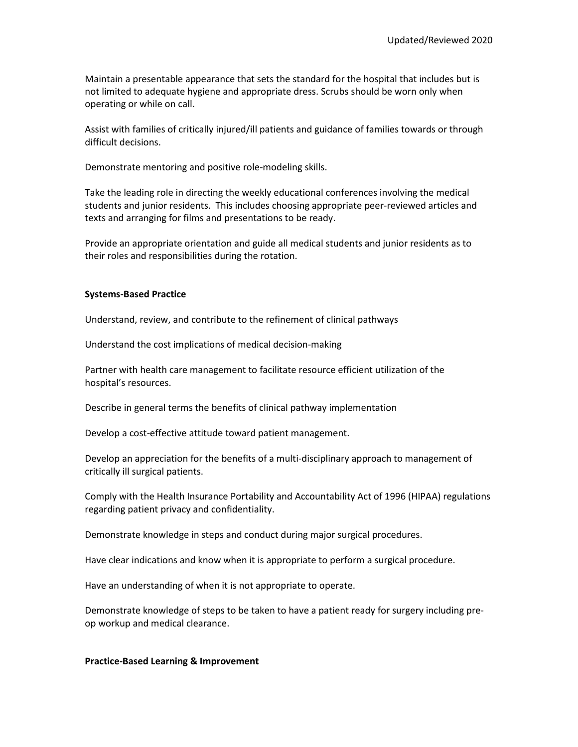Maintain a presentable appearance that sets the standard for the hospital that includes but is not limited to adequate hygiene and appropriate dress. Scrubs should be worn only when operating or while on call.

Assist with families of critically injured/ill patients and guidance of families towards or through difficult decisions.

Demonstrate mentoring and positive role-modeling skills.

Take the leading role in directing the weekly educational conferences involving the medical students and junior residents. This includes choosing appropriate peer-reviewed articles and texts and arranging for films and presentations to be ready.

Provide an appropriate orientation and guide all medical students and junior residents as to their roles and responsibilities during the rotation.

#### **Systems-Based Practice**

Understand, review, and contribute to the refinement of clinical pathways

Understand the cost implications of medical decision-making

Partner with health care management to facilitate resource efficient utilization of the hospital's resources.

Describe in general terms the benefits of clinical pathway implementation

Develop a cost-effective attitude toward patient management.

Develop an appreciation for the benefits of a multi-disciplinary approach to management of critically ill surgical patients.

Comply with the Health Insurance Portability and Accountability Act of 1996 (HIPAA) regulations regarding patient privacy and confidentiality.

Demonstrate knowledge in steps and conduct during major surgical procedures.

Have clear indications and know when it is appropriate to perform a surgical procedure.

Have an understanding of when it is not appropriate to operate.

Demonstrate knowledge of steps to be taken to have a patient ready for surgery including preop workup and medical clearance.

#### **Practice-Based Learning & Improvement**